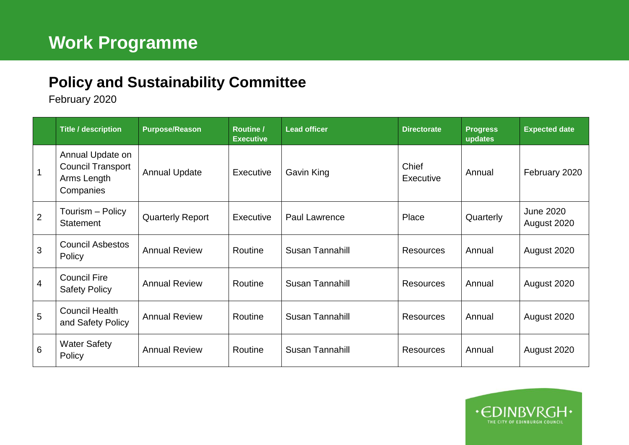## **Policy and Sustainability Committee**

February 2020

|                | <b>Title / description</b>                                               | <b>Purpose/Reason</b>   | Routine /<br><b>Executive</b> | <b>Lead officer</b>    | <b>Directorate</b> | <b>Progress</b><br>updates | <b>Expected date</b>            |
|----------------|--------------------------------------------------------------------------|-------------------------|-------------------------------|------------------------|--------------------|----------------------------|---------------------------------|
|                | Annual Update on<br><b>Council Transport</b><br>Arms Length<br>Companies | <b>Annual Update</b>    | Executive                     | Gavin King             | Chief<br>Executive | Annual                     | February 2020                   |
| $\overline{2}$ | Tourism - Policy<br><b>Statement</b>                                     | <b>Quarterly Report</b> | Executive                     | <b>Paul Lawrence</b>   | Place              | Quarterly                  | <b>June 2020</b><br>August 2020 |
| 3              | <b>Council Asbestos</b><br>Policy                                        | <b>Annual Review</b>    | Routine                       | <b>Susan Tannahill</b> | <b>Resources</b>   | Annual                     | August 2020                     |
| $\overline{4}$ | <b>Council Fire</b><br><b>Safety Policy</b>                              | <b>Annual Review</b>    | Routine                       | Susan Tannahill        | <b>Resources</b>   | Annual                     | August 2020                     |
| 5              | <b>Council Health</b><br>and Safety Policy                               | <b>Annual Review</b>    | Routine                       | Susan Tannahill        | <b>Resources</b>   | Annual                     | August 2020                     |
| 6              | <b>Water Safety</b><br>Policy                                            | <b>Annual Review</b>    | Routine                       | Susan Tannahill        | <b>Resources</b>   | Annual                     | August 2020                     |

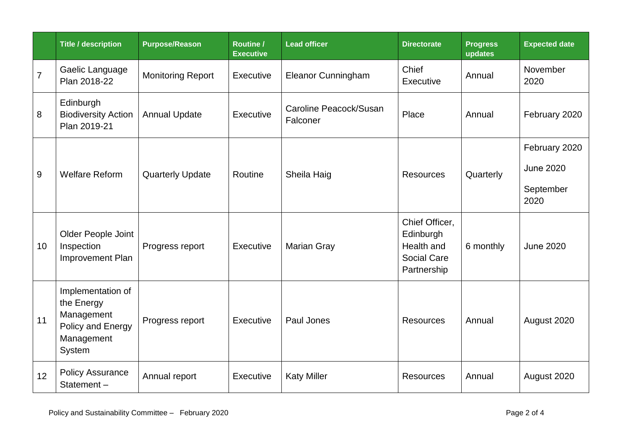|                  | <b>Title / description</b>                                                                 | <b>Purpose/Reason</b>    | <b>Routine /</b><br><b>Executive</b> | <b>Lead officer</b>                | <b>Directorate</b>                                                             | <b>Progress</b><br>updates | <b>Expected date</b>                                   |
|------------------|--------------------------------------------------------------------------------------------|--------------------------|--------------------------------------|------------------------------------|--------------------------------------------------------------------------------|----------------------------|--------------------------------------------------------|
| $\overline{7}$   | Gaelic Language<br>Plan 2018-22                                                            | <b>Monitoring Report</b> | Executive                            | <b>Eleanor Cunningham</b>          | Chief<br>Executive                                                             | Annual                     | November<br>2020                                       |
| 8                | Edinburgh<br><b>Biodiversity Action</b><br>Plan 2019-21                                    | <b>Annual Update</b>     | Executive                            | Caroline Peacock/Susan<br>Falconer | Place                                                                          | Annual                     | February 2020                                          |
| $\boldsymbol{9}$ | <b>Welfare Reform</b>                                                                      | <b>Quarterly Update</b>  | Routine                              | Sheila Haig                        | <b>Resources</b>                                                               | Quarterly                  | February 2020<br><b>June 2020</b><br>September<br>2020 |
| 10               | Older People Joint<br>Inspection<br>Improvement Plan                                       | Progress report          | Executive                            | <b>Marian Gray</b>                 | Chief Officer,<br>Edinburgh<br>Health and<br><b>Social Care</b><br>Partnership | 6 monthly                  | <b>June 2020</b>                                       |
| 11               | Implementation of<br>the Energy<br>Management<br>Policy and Energy<br>Management<br>System | Progress report          | Executive                            | Paul Jones                         | <b>Resources</b>                                                               | Annual                     | August 2020                                            |
| 12               | <b>Policy Assurance</b><br>Statement-                                                      | Annual report            | Executive                            | <b>Katy Miller</b>                 | <b>Resources</b>                                                               | Annual                     | August 2020                                            |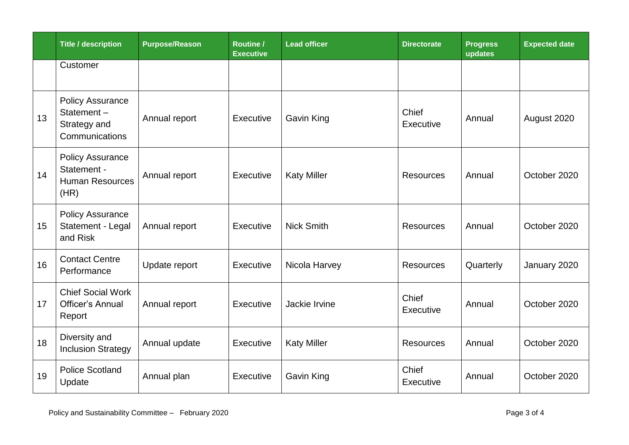|    | <b>Title / description</b>                                               | <b>Purpose/Reason</b> | <b>Routine /</b><br><b>Executive</b> | <b>Lead officer</b> | <b>Directorate</b> | <b>Progress</b><br>updates | <b>Expected date</b> |
|----|--------------------------------------------------------------------------|-----------------------|--------------------------------------|---------------------|--------------------|----------------------------|----------------------|
|    | Customer                                                                 |                       |                                      |                     |                    |                            |                      |
| 13 | <b>Policy Assurance</b><br>Statement-<br>Strategy and<br>Communications  | Annual report         | Executive                            | <b>Gavin King</b>   | Chief<br>Executive | Annual                     | August 2020          |
| 14 | <b>Policy Assurance</b><br>Statement -<br><b>Human Resources</b><br>(HR) | Annual report         | Executive                            | <b>Katy Miller</b>  | <b>Resources</b>   | Annual                     | October 2020         |
| 15 | <b>Policy Assurance</b><br>Statement - Legal<br>and Risk                 | Annual report         | Executive                            | <b>Nick Smith</b>   | <b>Resources</b>   | Annual                     | October 2020         |
| 16 | <b>Contact Centre</b><br>Performance                                     | Update report         | Executive                            | Nicola Harvey       | <b>Resources</b>   | Quarterly                  | January 2020         |
| 17 | <b>Chief Social Work</b><br><b>Officer's Annual</b><br>Report            | Annual report         | Executive                            | Jackie Irvine       | Chief<br>Executive | Annual                     | October 2020         |
| 18 | Diversity and<br><b>Inclusion Strategy</b>                               | Annual update         | Executive                            | <b>Katy Miller</b>  | <b>Resources</b>   | Annual                     | October 2020         |
| 19 | <b>Police Scotland</b><br>Update                                         | Annual plan           | Executive                            | Gavin King          | Chief<br>Executive | Annual                     | October 2020         |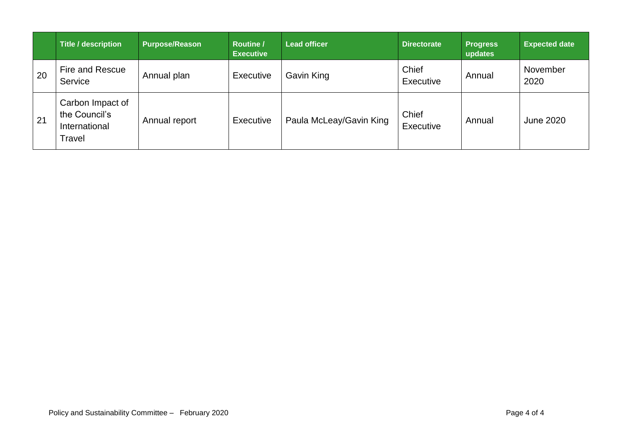|    | Title / description                                          | <b>Purpose/Reason</b> | <b>Routine /</b><br><b>Executive</b> | <b>Lead officer</b>     | <b>Directorate</b> | <b>Progress</b><br>updates | <b>Expected date</b> |
|----|--------------------------------------------------------------|-----------------------|--------------------------------------|-------------------------|--------------------|----------------------------|----------------------|
| 20 | Fire and Rescue<br>Service                                   | Annual plan           | Executive                            | Gavin King              | Chief<br>Executive | Annual                     | November<br>2020     |
| 21 | Carbon Impact of<br>the Council's<br>International<br>Travel | Annual report         | Executive                            | Paula McLeay/Gavin King | Chief<br>Executive | Annual                     | <b>June 2020</b>     |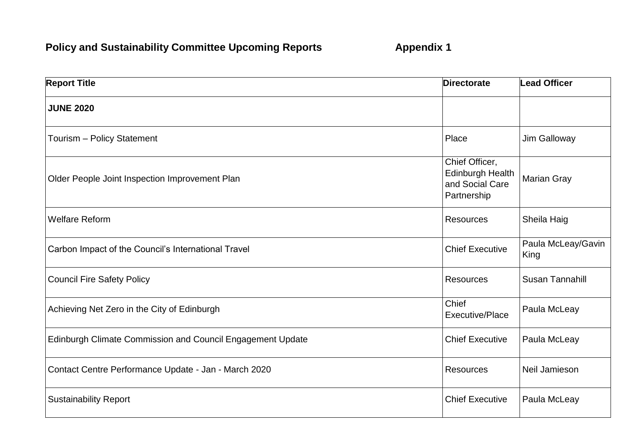## **Policy and Sustainability Committee Upcoming Reports <b>Appendix 1**

| <b>Report Title</b>                                        | <b>Directorate</b>                                                          | <b>Lead Officer</b>        |
|------------------------------------------------------------|-----------------------------------------------------------------------------|----------------------------|
| <b>JUNE 2020</b>                                           |                                                                             |                            |
| Tourism - Policy Statement                                 | Place                                                                       | Jim Galloway               |
| Older People Joint Inspection Improvement Plan             | Chief Officer,<br><b>Edinburgh Health</b><br>and Social Care<br>Partnership | <b>Marian Gray</b>         |
| <b>Welfare Reform</b>                                      | <b>Resources</b>                                                            | Sheila Haig                |
| Carbon Impact of the Council's International Travel        | <b>Chief Executive</b>                                                      | Paula McLeay/Gavin<br>King |
| <b>Council Fire Safety Policy</b>                          | <b>Resources</b>                                                            | <b>Susan Tannahill</b>     |
| Achieving Net Zero in the City of Edinburgh                | Chief<br>Executive/Place                                                    | Paula McLeay               |
| Edinburgh Climate Commission and Council Engagement Update | <b>Chief Executive</b>                                                      | Paula McLeay               |
| Contact Centre Performance Update - Jan - March 2020       | <b>Resources</b>                                                            | Neil Jamieson              |
| <b>Sustainability Report</b>                               | <b>Chief Executive</b>                                                      | Paula McLeay               |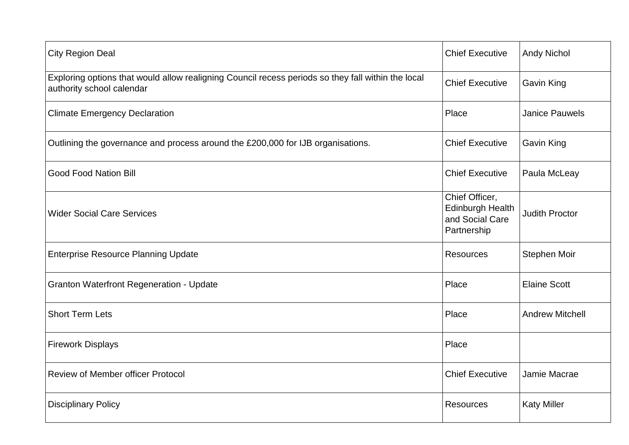| <b>City Region Deal</b>                                                                                                         | <b>Chief Executive</b>                                                      | <b>Andy Nichol</b>     |
|---------------------------------------------------------------------------------------------------------------------------------|-----------------------------------------------------------------------------|------------------------|
| Exploring options that would allow realigning Council recess periods so they fall within the local<br>authority school calendar | <b>Chief Executive</b>                                                      | <b>Gavin King</b>      |
| <b>Climate Emergency Declaration</b>                                                                                            | Place                                                                       | <b>Janice Pauwels</b>  |
| Outlining the governance and process around the £200,000 for IJB organisations.                                                 | <b>Chief Executive</b>                                                      | Gavin King             |
| <b>Good Food Nation Bill</b>                                                                                                    | <b>Chief Executive</b>                                                      | Paula McLeay           |
| <b>Wider Social Care Services</b>                                                                                               | Chief Officer,<br><b>Edinburgh Health</b><br>and Social Care<br>Partnership | <b>Judith Proctor</b>  |
| <b>Enterprise Resource Planning Update</b>                                                                                      | Resources                                                                   | Stephen Moir           |
| <b>Granton Waterfront Regeneration - Update</b>                                                                                 | Place                                                                       | <b>Elaine Scott</b>    |
| <b>Short Term Lets</b>                                                                                                          | Place                                                                       | <b>Andrew Mitchell</b> |
| <b>Firework Displays</b>                                                                                                        | Place                                                                       |                        |
| <b>Review of Member officer Protocol</b>                                                                                        | <b>Chief Executive</b>                                                      | Jamie Macrae           |
| <b>Disciplinary Policy</b>                                                                                                      | Resources                                                                   | <b>Katy Miller</b>     |